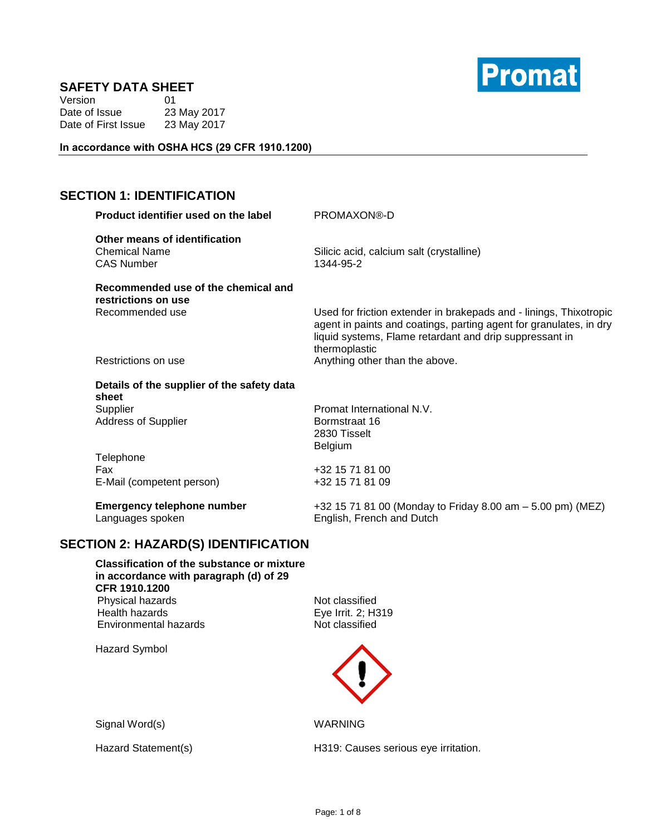

Version 01<br>Date of Issue 23 May 2017 Date of Issue 23 May 2017<br>Date of First Issue 23 May 2017 Date of First Issue

#### **In accordance with OSHA HCS (29 CFR 1910.1200)**

# **SECTION 1: IDENTIFICATION**

| Product identifier used on the label                                       | PROMAXON®-D                                                                                                                                                                                                          |
|----------------------------------------------------------------------------|----------------------------------------------------------------------------------------------------------------------------------------------------------------------------------------------------------------------|
| Other means of identification<br><b>Chemical Name</b><br><b>CAS Number</b> | Silicic acid, calcium salt (crystalline)<br>1344-95-2                                                                                                                                                                |
| Recommended use of the chemical and<br>restrictions on use                 |                                                                                                                                                                                                                      |
| Recommended use                                                            | Used for friction extender in brakepads and - linings, Thixotropic<br>agent in paints and coatings, parting agent for granulates, in dry<br>liquid systems, Flame retardant and drip suppressant in<br>thermoplastic |
| Restrictions on use                                                        | Anything other than the above.                                                                                                                                                                                       |
| Details of the supplier of the safety data<br>sheet                        |                                                                                                                                                                                                                      |
| Supplier                                                                   | Promat International N.V.                                                                                                                                                                                            |
| <b>Address of Supplier</b>                                                 | Bormstraat 16                                                                                                                                                                                                        |
|                                                                            | 2830 Tisselt                                                                                                                                                                                                         |
|                                                                            | <b>Belgium</b>                                                                                                                                                                                                       |
| Telephone                                                                  |                                                                                                                                                                                                                      |
| Fax                                                                        | +32 15 71 81 00                                                                                                                                                                                                      |
| E-Mail (competent person)                                                  | +32 15 71 81 09                                                                                                                                                                                                      |
| <b>Emergency telephone number</b><br>Languages spoken                      | +32 15 71 81 00 (Monday to Friday 8.00 am - 5.00 pm) (MEZ)<br>English, French and Dutch                                                                                                                              |

# **SECTION 2: HAZARD(S) IDENTIFICATION**

**Classification of the substance or mixture in accordance with paragraph (d) of 29 CFR 1910.1200** Physical hazards<br>
Health hazards<br>
Health hazards<br>
Health hazards<br>
Health hazards<br>
Not classified<br>
Eye Irrit. 2; H3 Environmental hazards Not classified

Hazard Symbol

Eye Irrit. 2; H319



Signal Word(s) Notice that the MARNING

Hazard Statement(s) H319: Causes serious eye irritation.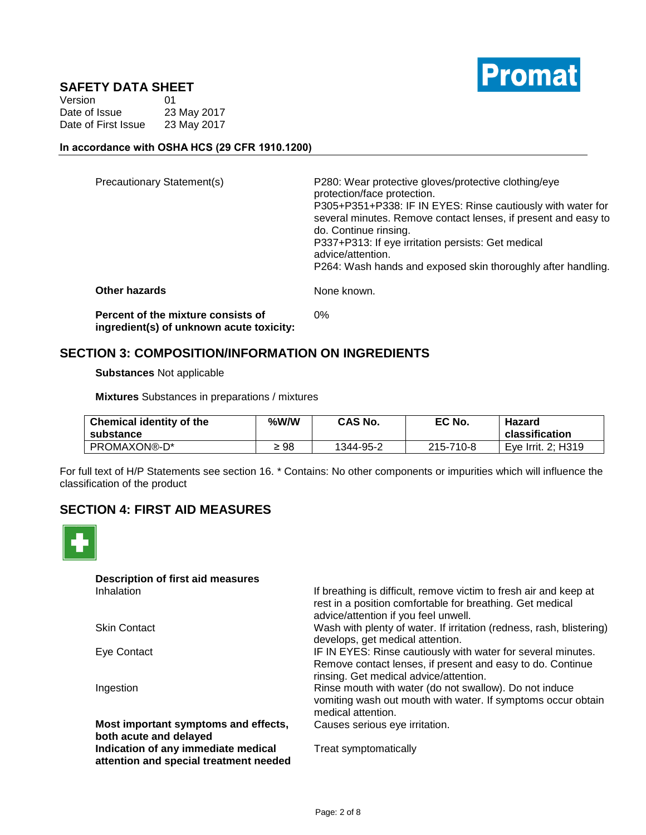

| Version             | 01          |
|---------------------|-------------|
| Date of Issue       | 23 May 2017 |
| Date of First Issue | 23 May 2017 |

#### **In accordance with OSHA HCS (29 CFR 1910.1200)**

| Precautionary Statement(s)         | P280: Wear protective gloves/protective clothing/eye<br>protection/face protection.<br>P305+P351+P338: IF IN EYES: Rinse cautiously with water for<br>several minutes. Remove contact lenses, if present and easy to<br>do. Continue rinsing.<br>P337+P313: If eye irritation persists: Get medical<br>advice/attention.<br>P264: Wash hands and exposed skin thoroughly after handling. |
|------------------------------------|------------------------------------------------------------------------------------------------------------------------------------------------------------------------------------------------------------------------------------------------------------------------------------------------------------------------------------------------------------------------------------------|
| <b>Other hazards</b>               | None known.                                                                                                                                                                                                                                                                                                                                                                              |
| Percent of the mixture consists of | 0%                                                                                                                                                                                                                                                                                                                                                                                       |

**Percent of the mixture consists of ingredient(s) of unknown acute toxicity:**

### **SECTION 3: COMPOSITION/INFORMATION ON INGREDIENTS**

**Substances** Not applicable

**Mixtures** Substances in preparations / mixtures

| Chemical identity of the<br>substance | %W/W | CAS No.   | EC No.    | Hazard<br>classification |
|---------------------------------------|------|-----------|-----------|--------------------------|
| PROMAXON®-D*                          | ≥ 98 | 1344-95-2 | 215-710-8 | Eve Irrit, 2: H319       |

For full text of H/P Statements see section 16. \* Contains: No other components or impurities which will influence the classification of the product

## **SECTION 4: FIRST AID MEASURES**



**Description of first aid measures**

**Most important symptoms and effects, both acute and delayed Indication of any immediate medical attention and special treatment needed**

If breathing is difficult, remove victim to fresh air and keep at rest in a position comfortable for breathing. Get medical advice/attention if you feel unwell. Skin Contact **Wash with plenty of water. If irritation (redness, rash, blistering)** develops, get medical attention. Eye Contact IF IN EYES: Rinse cautiously with water for several minutes. Remove contact lenses, if present and easy to do. Continue rinsing. Get medical advice/attention. Ingestion **Ingestion** Rinse mouth with water (do not swallow). Do not induce vomiting wash out mouth with water. If symptoms occur obtain

medical attention.

Causes serious eye irritation.

Treat symptomatically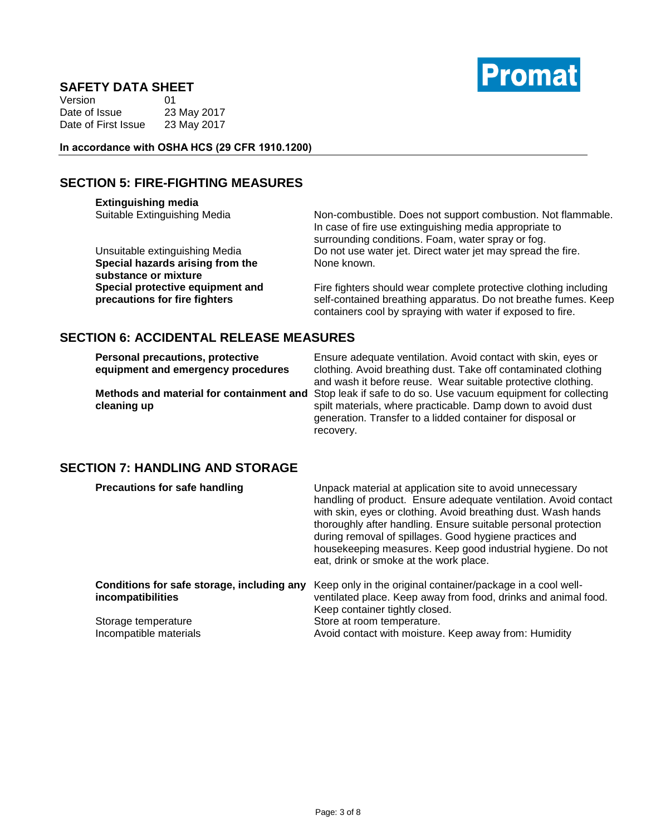

| Version             | 01          |
|---------------------|-------------|
| Date of Issue       | 23 May 2017 |
| Date of First Issue | 23 May 2017 |

**In accordance with OSHA HCS (29 CFR 1910.1200)**

# **SECTION 5: FIRE-FIGHTING MEASURES**

**Extinguishing media**

**Special hazards arising from the substance or mixture Special protective equipment and precautions for fire fighters**

Suitable Extinguishing Media Non-combustible. Does not support combustion. Not flammable. In case of fire use extinguishing media appropriate to surrounding conditions. Foam, water spray or fog. Unsuitable extinguishing Media Do not use water jet. Direct water jet may spread the fire. None known.

> Fire fighters should wear complete protective clothing including self-contained breathing apparatus. Do not breathe fumes. Keep containers cool by spraying with water if exposed to fire.

## **SECTION 6: ACCIDENTAL RELEASE MEASURES**

**Personal precautions, protective equipment and emergency procedures**

**cleaning up**

Ensure adequate ventilation. Avoid contact with skin, eyes or clothing. Avoid breathing dust. Take off contaminated clothing and wash it before reuse. Wear suitable protective clothing. **Methods and material for containment and**  Stop leak if safe to do so. Use vacuum equipment for collecting spilt materials, where practicable. Damp down to avoid dust generation. Transfer to a lidded container for disposal or recovery.

## **SECTION 7: HANDLING AND STORAGE**

| <b>Precautions for safe handling</b>                                   | Unpack material at application site to avoid unnecessary<br>handling of product. Ensure adequate ventilation. Avoid contact<br>with skin, eyes or clothing. Avoid breathing dust. Wash hands<br>thoroughly after handling. Ensure suitable personal protection<br>during removal of spillages. Good hygiene practices and<br>housekeeping measures. Keep good industrial hygiene. Do not<br>eat, drink or smoke at the work place. |
|------------------------------------------------------------------------|------------------------------------------------------------------------------------------------------------------------------------------------------------------------------------------------------------------------------------------------------------------------------------------------------------------------------------------------------------------------------------------------------------------------------------|
| Conditions for safe storage, including any<br><i>incompatibilities</i> | Keep only in the original container/package in a cool well-<br>ventilated place. Keep away from food, drinks and animal food.<br>Keep container tightly closed.                                                                                                                                                                                                                                                                    |
| Storage temperature<br>Incompatible materials                          | Store at room temperature.<br>Avoid contact with moisture. Keep away from: Humidity                                                                                                                                                                                                                                                                                                                                                |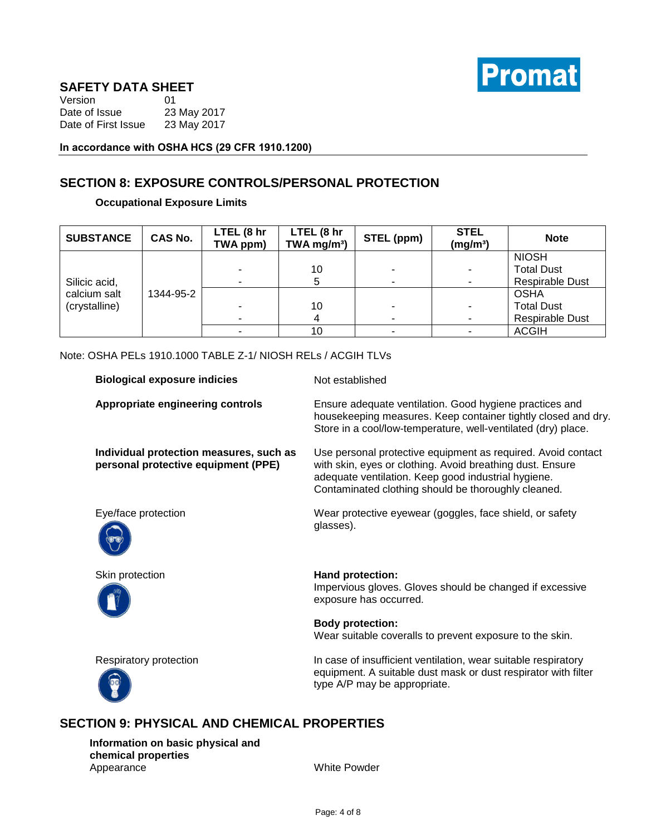

| Version             | 01          |
|---------------------|-------------|
| Date of Issue       | 23 May 2017 |
| Date of First Issue | 23 May 2017 |

**In accordance with OSHA HCS (29 CFR 1910.1200)**

# **SECTION 8: EXPOSURE CONTROLS/PERSONAL PROTECTION**

### **Occupational Exposure Limits**

| <b>SUBSTANCE</b> | <b>CAS No.</b> | LTEL (8 hr<br>TWA ppm)   | LTEL (8 hr<br>TWA mg/m <sup>3</sup> ) | STEL (ppm) | <b>STEL</b><br>(mg/m <sup>3</sup> ) | <b>Note</b>            |
|------------------|----------------|--------------------------|---------------------------------------|------------|-------------------------------------|------------------------|
|                  |                |                          |                                       |            |                                     | <b>NIOSH</b>           |
|                  |                | $\blacksquare$           | 10                                    | -          |                                     | <b>Total Dust</b>      |
| Silicic acid,    |                |                          | G                                     | -          |                                     | <b>Respirable Dust</b> |
| calcium salt     | 1344-95-2      |                          |                                       |            |                                     | <b>OSHA</b>            |
| (crystalline)    |                | $\overline{\phantom{0}}$ | 10                                    | -          |                                     | <b>Total Dust</b>      |
|                  |                |                          | -                                     |            | <b>Respirable Dust</b>              |                        |
|                  |                |                          | 10                                    | -          |                                     | <b>ACGIH</b>           |

Note: OSHA PELs 1910.1000 TABLE Z-1/ NIOSH RELs / ACGIH TLVs

| <b>Biological exposure indicies</b>                                            | Not established                                                                                                                                                                                                                         |
|--------------------------------------------------------------------------------|-----------------------------------------------------------------------------------------------------------------------------------------------------------------------------------------------------------------------------------------|
| Appropriate engineering controls                                               | Ensure adequate ventilation. Good hygiene practices and<br>housekeeping measures. Keep container tightly closed and dry.<br>Store in a cool/low-temperature, well-ventilated (dry) place.                                               |
| Individual protection measures, such as<br>personal protective equipment (PPE) | Use personal protective equipment as required. Avoid contact<br>with skin, eyes or clothing. Avoid breathing dust. Ensure<br>adequate ventilation. Keep good industrial hygiene.<br>Contaminated clothing should be thoroughly cleaned. |
| Eye/face protection                                                            | Wear protective eyewear (goggles, face shield, or safety<br>glasses).                                                                                                                                                                   |
| Skin protection                                                                | Hand protection:<br>Impervious gloves. Gloves should be changed if excessive<br>exposure has occurred.<br><b>Body protection:</b>                                                                                                       |
|                                                                                | Wear suitable coveralls to prevent exposure to the skin.                                                                                                                                                                                |
| Respiratory protection                                                         | In case of insufficient ventilation, wear suitable respiratory<br>equipment. A suitable dust mask or dust respirator with filter<br>type A/P may be appropriate.                                                                        |
| <b>SECTION 9: PHYSICAL AND CHEMICAL PROPERTIES</b>                             |                                                                                                                                                                                                                                         |

**Information on basic physical and chemical properties** Appearance White Powder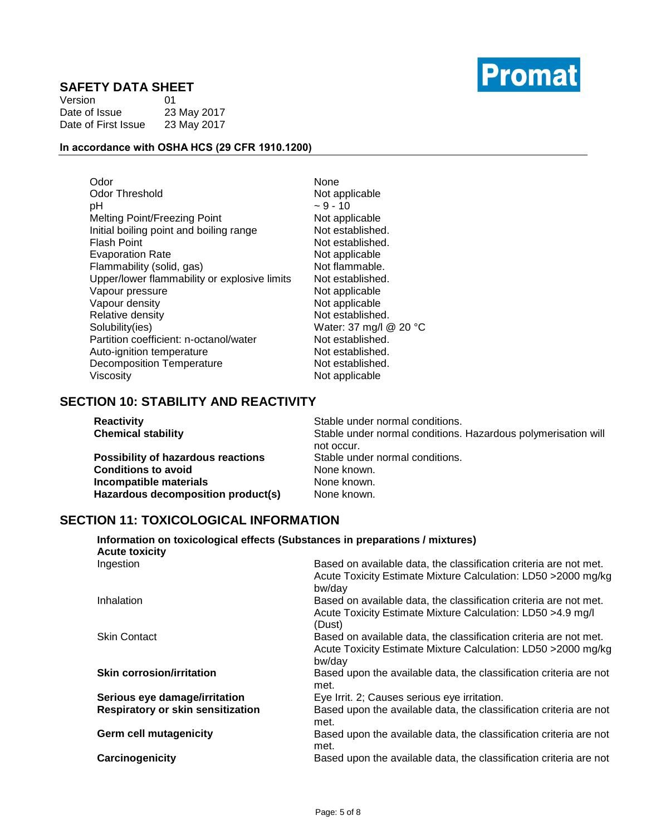

| Version             | 01          |
|---------------------|-------------|
| Date of Issue       | 23 May 2017 |
| Date of First Issue | 23 May 2017 |

# **In accordance with OSHA HCS (29 CFR 1910.1200)**

| Odor                                         | None                   |
|----------------------------------------------|------------------------|
|                                              |                        |
| <b>Odor Threshold</b>                        | Not applicable         |
| рH                                           | ~10                    |
| <b>Melting Point/Freezing Point</b>          | Not applicable         |
| Initial boiling point and boiling range      | Not established.       |
| <b>Flash Point</b>                           | Not established.       |
| <b>Evaporation Rate</b>                      | Not applicable         |
| Flammability (solid, gas)                    | Not flammable.         |
| Upper/lower flammability or explosive limits | Not established.       |
| Vapour pressure                              | Not applicable         |
| Vapour density                               | Not applicable         |
| Relative density                             | Not established.       |
| Solubility(ies)                              | Water: 37 mg/l @ 20 °C |
| Partition coefficient: n-octanol/water       | Not established.       |
| Auto-ignition temperature                    | Not established.       |
| <b>Decomposition Temperature</b>             | Not established.       |
| Viscosity                                    | Not applicable         |

# **SECTION 10: STABILITY AND REACTIVITY**

| <b>Reactivity</b>                         | Stable under normal conditions.                               |
|-------------------------------------------|---------------------------------------------------------------|
| <b>Chemical stability</b>                 | Stable under normal conditions. Hazardous polymerisation will |
|                                           | not occur.                                                    |
| <b>Possibility of hazardous reactions</b> | Stable under normal conditions.                               |
| <b>Conditions to avoid</b>                | None known.                                                   |
| Incompatible materials                    | None known.                                                   |
| Hazardous decomposition product(s)        | None known.                                                   |

### **SECTION 11: TOXICOLOGICAL INFORMATION**

| Information on toxicological effects (Substances in preparations / mixtures)<br><b>Acute toxicity</b> |                                                                            |  |
|-------------------------------------------------------------------------------------------------------|----------------------------------------------------------------------------|--|
| Ingestion                                                                                             | Based on available data, the classification criteria are not met.          |  |
|                                                                                                       | Acute Toxicity Estimate Mixture Calculation: LD50 > 2000 mg/kg<br>bw/day   |  |
| Inhalation                                                                                            | Based on available data, the classification criteria are not met.          |  |
|                                                                                                       | Acute Toxicity Estimate Mixture Calculation: LD50 >4.9 mg/l<br>(Dust)      |  |
| <b>Skin Contact</b>                                                                                   | Based on available data, the classification criteria are not met.          |  |
|                                                                                                       | Acute Toxicity Estimate Mixture Calculation: LD50 > 2000 mg/kg<br>bw/day   |  |
| <b>Skin corrosion/irritation</b>                                                                      | Based upon the available data, the classification criteria are not<br>met. |  |
| Serious eye damage/irritation                                                                         | Eye Irrit. 2; Causes serious eye irritation.                               |  |
| Respiratory or skin sensitization                                                                     | Based upon the available data, the classification criteria are not<br>met. |  |
| <b>Germ cell mutagenicity</b>                                                                         | Based upon the available data, the classification criteria are not<br>met. |  |
| Carcinogenicity                                                                                       | Based upon the available data, the classification criteria are not         |  |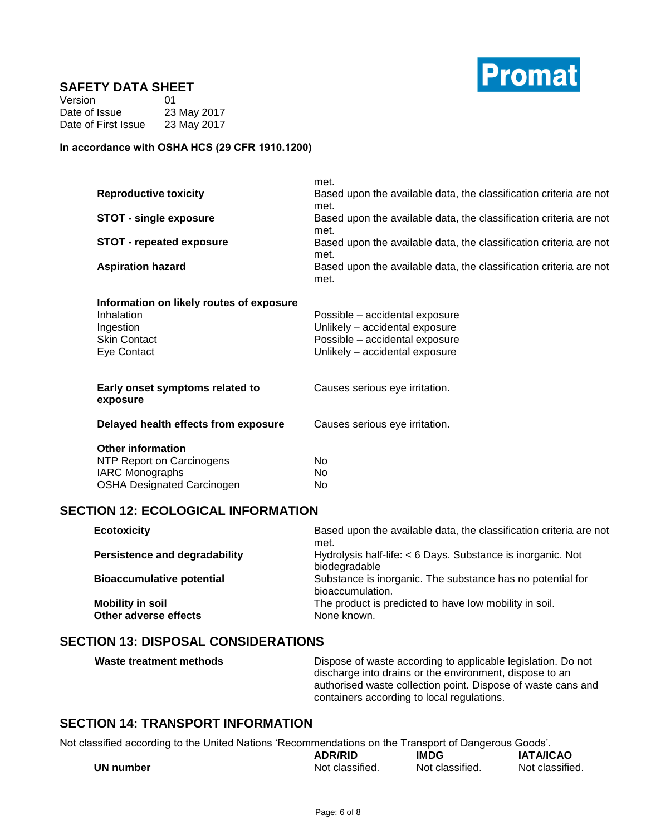

| Version             | 01          |
|---------------------|-------------|
| Date of Issue       | 23 May 2017 |
| Date of First Issue | 23 May 2017 |

# **In accordance with OSHA HCS (29 CFR 1910.1200)**

| <b>Reproductive toxicity</b>                                                                                         | met.<br>Based upon the available data, the classification criteria are not<br>met.                                                   |
|----------------------------------------------------------------------------------------------------------------------|--------------------------------------------------------------------------------------------------------------------------------------|
| <b>STOT - single exposure</b>                                                                                        | Based upon the available data, the classification criteria are not<br>met.                                                           |
| <b>STOT - repeated exposure</b>                                                                                      | Based upon the available data, the classification criteria are not<br>met.                                                           |
| <b>Aspiration hazard</b>                                                                                             | Based upon the available data, the classification criteria are not<br>met.                                                           |
| Information on likely routes of exposure<br>Inhalation<br>Ingestion<br><b>Skin Contact</b><br>Eye Contact            | Possible – accidental exposure<br>Unlikely - accidental exposure<br>Possible - accidental exposure<br>Unlikely - accidental exposure |
| Early onset symptoms related to<br>exposure                                                                          | Causes serious eye irritation.                                                                                                       |
| Delayed health effects from exposure                                                                                 | Causes serious eye irritation.                                                                                                       |
| <b>Other information</b><br>NTP Report on Carcinogens<br><b>IARC Monographs</b><br><b>OSHA Designated Carcinogen</b> | No.<br>No.<br>No                                                                                                                     |

# **SECTION 12: ECOLOGICAL INFORMATION**

| <b>Ecotoxicity</b>                               | Based upon the available data, the classification criteria are not<br>met.     |
|--------------------------------------------------|--------------------------------------------------------------------------------|
| <b>Persistence and degradability</b>             | Hydrolysis half-life: < 6 Days. Substance is inorganic. Not<br>biodegradable   |
| <b>Bioaccumulative potential</b>                 | Substance is inorganic. The substance has no potential for<br>bioaccumulation. |
| <b>Mobility in soil</b><br>Other adverse effects | The product is predicted to have low mobility in soil.<br>None known.          |

# **SECTION 13: DISPOSAL CONSIDERATIONS**

# **SECTION 14: TRANSPORT INFORMATION**

Not classified according to the United Nations 'Recommendations on the Transport of Dangerous Goods'.

|           | <b>ADR/RID</b>  | <b>IMDG</b>     | <b>IATA/ICAO</b> |
|-----------|-----------------|-----------------|------------------|
| UN number | Not classified. | Not classified. | Not classified.  |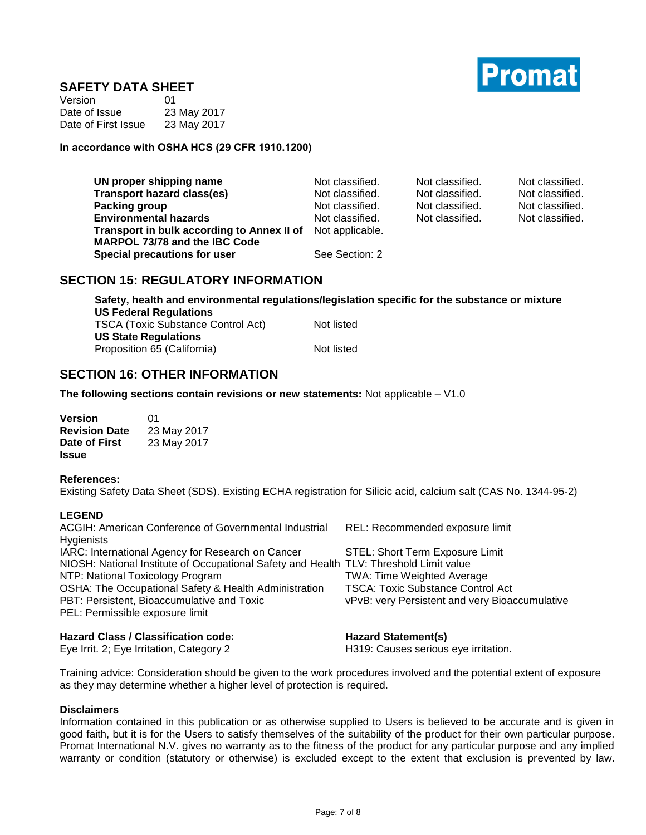

| Version             | 01          |
|---------------------|-------------|
| Date of Issue       | 23 May 2017 |
| Date of First Issue | 23 May 2017 |

#### **In accordance with OSHA HCS (29 CFR 1910.1200)**

| UN proper shipping name                    | Not classified. | Not classified. | Not classified. |
|--------------------------------------------|-----------------|-----------------|-----------------|
| <b>Transport hazard class(es)</b>          | Not classified. | Not classified. | Not classified. |
| Packing group                              | Not classified. | Not classified. | Not classified. |
| <b>Environmental hazards</b>               | Not classified. | Not classified. | Not classified. |
| Transport in bulk according to Annex II of | Not applicable. |                 |                 |
| MARPOL 73/78 and the IBC Code              |                 |                 |                 |
| <b>Special precautions for user</b>        | See Section: 2  |                 |                 |

### **SECTION 15: REGULATORY INFORMATION**

**Safety, health and environmental regulations/legislation specific for the substance or mixture US Federal Regulations** TSCA (Toxic Substance Control Act) Not listed **US State Regulations** Proposition 65 (California) Not listed

# **SECTION 16: OTHER INFORMATION**

**The following sections contain revisions or new statements:** Not applicable – V1.0

| <b>Version</b>       | 01          |
|----------------------|-------------|
| <b>Revision Date</b> | 23 May 2017 |
| Date of First        | 23 May 2017 |
| <b>Issue</b>         |             |

#### **References:**

Existing Safety Data Sheet (SDS). Existing ECHA registration for Silicic acid, calcium salt (CAS No. 1344-95-2)

#### **LEGEND**

| <b>ACGIH: American Conference of Governmental Industrial</b>                           | REL: Recommended exposure limit                |
|----------------------------------------------------------------------------------------|------------------------------------------------|
| <b>Hygienists</b>                                                                      |                                                |
| IARC: International Agency for Research on Cancer                                      | STEL: Short Term Exposure Limit                |
| NIOSH: National Institute of Occupational Safety and Health TLV: Threshold Limit value |                                                |
| NTP: National Toxicology Program                                                       | <b>TWA: Time Weighted Average</b>              |
| OSHA: The Occupational Safety & Health Administration                                  | <b>TSCA: Toxic Substance Control Act</b>       |
| PBT: Persistent, Bioaccumulative and Toxic                                             | vPvB: very Persistent and very Bioaccumulative |
| PEL: Permissible exposure limit                                                        |                                                |
|                                                                                        |                                                |

#### **Hazard Class / Classification code: Hazard Statement(s)**

Eye Irrit. 2; Eye Irritation, Category 2 H319: Causes serious eye irritation.

Training advice: Consideration should be given to the work procedures involved and the potential extent of exposure as they may determine whether a higher level of protection is required.

#### **Disclaimers**

Information contained in this publication or as otherwise supplied to Users is believed to be accurate and is given in good faith, but it is for the Users to satisfy themselves of the suitability of the product for their own particular purpose. Promat International N.V. gives no warranty as to the fitness of the product for any particular purpose and any implied warranty or condition (statutory or otherwise) is excluded except to the extent that exclusion is prevented by law.